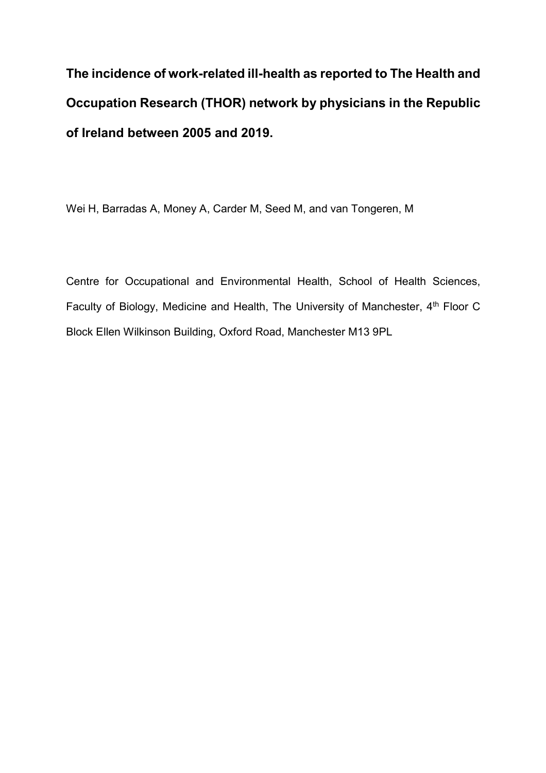**The incidence of work-related ill-health as reported to The Health and Occupation Research (THOR) network by physicians in the Republic of Ireland between 2005 and 2019.** 

Wei H, Barradas A, Money A, Carder M, Seed M, and van Tongeren, M

Centre for Occupational and Environmental Health, School of Health Sciences, Faculty of Biology, Medicine and Health, The University of Manchester, 4<sup>th</sup> Floor C Block Ellen Wilkinson Building, Oxford Road, Manchester M13 9PL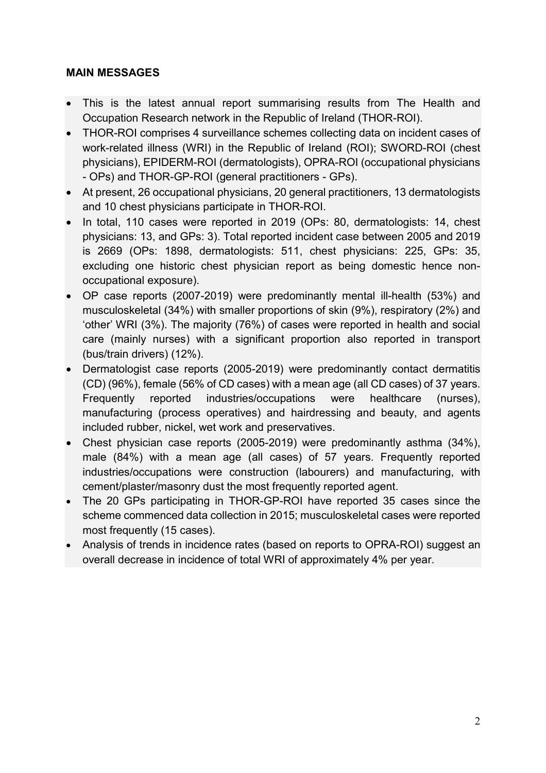## **MAIN MESSAGES**

- This is the latest annual report summarising results from The Health and Occupation Research network in the Republic of Ireland (THOR-ROI).
- THOR-ROI comprises 4 surveillance schemes collecting data on incident cases of work-related illness (WRI) in the Republic of Ireland (ROI); SWORD-ROI (chest physicians), EPIDERM-ROI (dermatologists), OPRA-ROI (occupational physicians - OPs) and THOR-GP-ROI (general practitioners - GPs).
- At present, 26 occupational physicians, 20 general practitioners, 13 dermatologists and 10 chest physicians participate in THOR-ROI.
- In total, 110 cases were reported in 2019 (OPs: 80, dermatologists: 14, chest physicians: 13, and GPs: 3). Total reported incident case between 2005 and 2019 is 2669 (OPs: 1898, dermatologists: 511, chest physicians: 225, GPs: 35, excluding one historic chest physician report as being domestic hence nonoccupational exposure).
- OP case reports (2007-2019) were predominantly mental ill-health (53%) and musculoskeletal (34%) with smaller proportions of skin (9%), respiratory (2%) and 'other' WRI (3%). The majority (76%) of cases were reported in health and social care (mainly nurses) with a significant proportion also reported in transport (bus/train drivers) (12%).
- Dermatologist case reports (2005-2019) were predominantly contact dermatitis (CD) (96%), female (56% of CD cases) with a mean age (all CD cases) of 37 years. Frequently reported industries/occupations were healthcare (nurses), manufacturing (process operatives) and hairdressing and beauty, and agents included rubber, nickel, wet work and preservatives.
- Chest physician case reports (2005-2019) were predominantly asthma (34%), male (84%) with a mean age (all cases) of 57 years. Frequently reported industries/occupations were construction (labourers) and manufacturing, with cement/plaster/masonry dust the most frequently reported agent.
- The 20 GPs participating in THOR-GP-ROI have reported 35 cases since the scheme commenced data collection in 2015; musculoskeletal cases were reported most frequently (15 cases).
- Analysis of trends in incidence rates (based on reports to OPRA-ROI) suggest an overall decrease in incidence of total WRI of approximately 4% per year.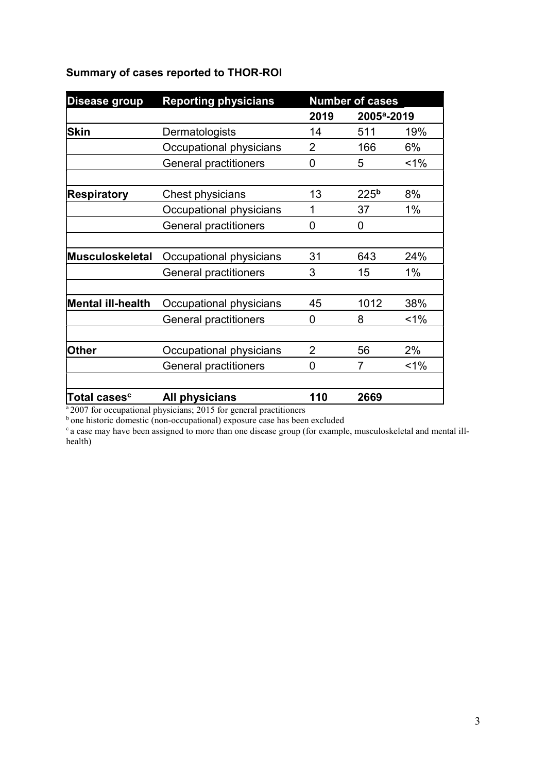## **Summary of cases reported to THOR-ROI**

| <b>Disease group</b>     | <b>Reporting physicians</b>  | <b>Number of cases</b> |                         |       |
|--------------------------|------------------------------|------------------------|-------------------------|-------|
|                          |                              | 2019                   | 2005 <sup>a</sup> -2019 |       |
| <b>Skin</b>              | Dermatologists               | 14                     | 511                     | 19%   |
|                          | Occupational physicians      | $\overline{2}$         | 166                     | 6%    |
|                          | <b>General practitioners</b> | 0                      | 5                       | $1\%$ |
| <b>Respiratory</b>       | Chest physicians             | 13                     | 225 <sup>b</sup>        | 8%    |
|                          | Occupational physicians      | 1                      | 37                      | 1%    |
|                          | <b>General practitioners</b> | 0                      | 0                       |       |
| Musculoskeletal          | Occupational physicians      | 31                     | 643                     | 24%   |
|                          | <b>General practitioners</b> | 3                      | 15                      | 1%    |
| <b>Mental ill-health</b> | Occupational physicians      | 45                     | 1012                    | 38%   |
|                          | <b>General practitioners</b> | $\overline{0}$         | 8                       | $1\%$ |
| <b>Other</b>             | Occupational physicians      | $\overline{2}$         | 56                      | 2%    |
|                          | <b>General practitioners</b> | 0                      | 7                       | $1\%$ |
| Total cases <sup>c</sup> | All physicians               | 110                    | 2669                    |       |

<sup>a 2007</sup> for occupational physicians; 2015 for general practitioners

<sup>b</sup> one historic domestic (non-occupational) exposure case has been excluded

<sup>c</sup> a case may have been assigned to more than one disease group (for example, musculoskeletal and mental illhealth)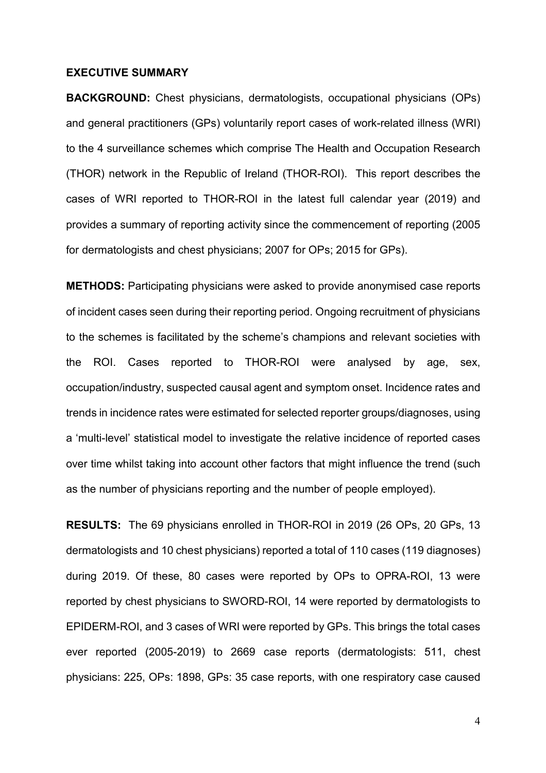## **EXECUTIVE SUMMARY**

**BACKGROUND:** Chest physicians, dermatologists, occupational physicians (OPs) and general practitioners (GPs) voluntarily report cases of work-related illness (WRI) to the 4 surveillance schemes which comprise The Health and Occupation Research (THOR) network in the Republic of Ireland (THOR-ROI). This report describes the cases of WRI reported to THOR-ROI in the latest full calendar year (2019) and provides a summary of reporting activity since the commencement of reporting (2005 for dermatologists and chest physicians; 2007 for OPs; 2015 for GPs).

**METHODS:** Participating physicians were asked to provide anonymised case reports of incident cases seen during their reporting period. Ongoing recruitment of physicians to the schemes is facilitated by the scheme's champions and relevant societies with the ROI. Cases reported to THOR-ROI were analysed by age, sex, occupation/industry, suspected causal agent and symptom onset. Incidence rates and trends in incidence rates were estimated for selected reporter groups/diagnoses, using a 'multi-level' statistical model to investigate the relative incidence of reported cases over time whilst taking into account other factors that might influence the trend (such as the number of physicians reporting and the number of people employed).

**RESULTS:** The 69 physicians enrolled in THOR-ROI in 2019 (26 OPs, 20 GPs, 13 dermatologists and 10 chest physicians) reported a total of 110 cases (119 diagnoses) during 2019. Of these, 80 cases were reported by OPs to OPRA-ROI, 13 were reported by chest physicians to SWORD-ROI, 14 were reported by dermatologists to EPIDERM-ROI, and 3 cases of WRI were reported by GPs. This brings the total cases ever reported (2005-2019) to 2669 case reports (dermatologists: 511, chest physicians: 225, OPs: 1898, GPs: 35 case reports, with one respiratory case caused

4